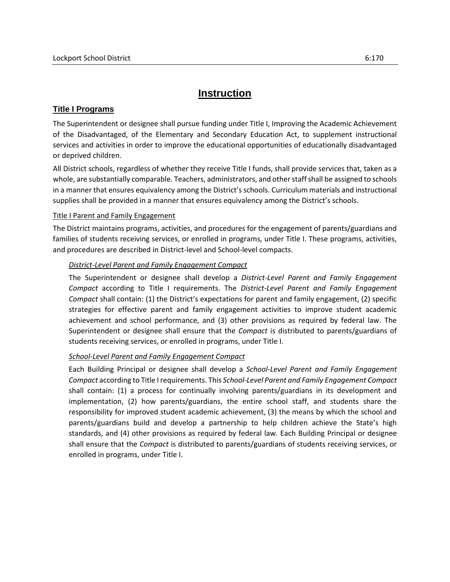# **Instruction**

## **Title I Programs**

The Superintendent or designee shall pursue funding under Title I, Improving the Academic Achievement of the Disadvantaged, of the Elementary and Secondary Education Act, to supplement instructional services and activities in order to improve the educational opportunities of educationally disadvantaged or deprived children.

All District schools, regardless of whether they receive Title I funds, shall provide services that, taken as a whole, are substantially comparable. Teachers, administrators, and other staff shall be assigned to schools in a manner that ensures equivalency among the District's schools. Curriculum materials and instructional supplies shall be provided in a manner that ensures equivalency among the District's schools.

### Title I Parent and Family Engagement

The District maintains programs, activities, and procedures for the engagement of parents/guardians and families of students receiving services, or enrolled in programs, under Title I. These programs, activities, and procedures are described in District-level and School-level compacts.

### *District-Level Parent and Family Engagement Compact*

The Superintendent or designee shall develop a *District-Level Parent and Family Engagement Compact* according to Title I requirements. The *District-Level Parent and Family Engagement Compact* shall contain: (1) the District's expectations for parent and family engagement, (2) specific strategies for effective parent and family engagement activities to improve student academic achievement and school performance, and (3) other provisions as required by federal law. The Superintendent or designee shall ensure that the *Compact* is distributed to parents/guardians of students receiving services, or enrolled in programs, under Title I.

### *School-Level Parent and Family Engagement Compact*

Each Building Principal or designee shall develop a *School-Level Parent and Family Engagement Compact* according to Title I requirements. This *School-Level Parent and Family Engagement Compact* shall contain: (1) a process for continually involving parents/guardians in its development and implementation, (2) how parents/guardians, the entire school staff, and students share the responsibility for improved student academic achievement, (3) the means by which the school and parents/guardians build and develop a partnership to help children achieve the State's high standards, and (4) other provisions as required by federal law. Each Building Principal or designee shall ensure that the *Compact* is distributed to parents/guardians of students receiving services, or enrolled in programs, under Title I.